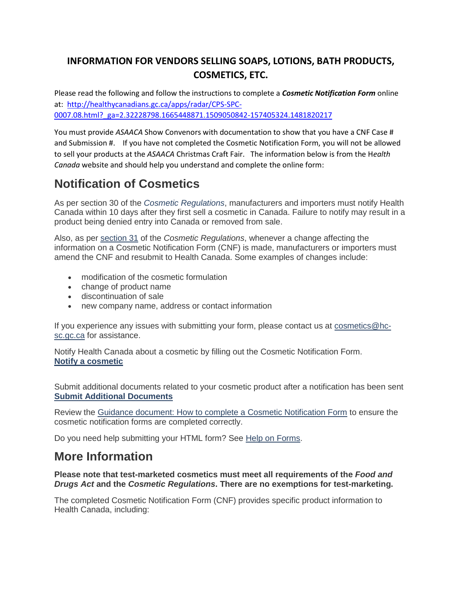### **INFORMATION FOR VENDORS SELLING SOAPS, LOTIONS, BATH PRODUCTS, COSMETICS, ETC.**

Please read the following and follow the instructions to complete a *Cosmetic Notification Form* online at: [http://healthycanadians.gc.ca/apps/radar/CPS-SPC-](http://healthycanadians.gc.ca/apps/radar/CPS-SPC-0007.08.html?_ga=2.32228798.1665448871.1509050842-157405324.1481820217)0007.08.html? ga=2.32228798.1665448871.1509050842-157405324.1481820217

You must provide *ASAACA* Show Convenors with documentation to show that you have a CNF Case # and Submission #. If you have not completed the Cosmetic Notification Form, you will not be allowed to sell your products at the *ASAACA* Christmas Craft Fair. The information below is from the H*ealth Canada* website and should help you understand and complete the online form:

# **Notification of Cosmetics**

As per section 30 of the *[Cosmetic Regulations](http://laws-lois.justice.gc.ca/eng/regulations/C.R.C.,_c._869/index.html)*, manufacturers and importers must notify Health Canada within 10 days after they first sell a cosmetic in Canada. Failure to notify may result in a product being denied entry into Canada or removed from sale.

Also, as per [section 31](http://laws-lois.justice.gc.ca/eng/regulations/C.R.C.,_c._869/page-4.html#h-14) of the *Cosmetic Regulations*, whenever a change affecting the information on a Cosmetic Notification Form (CNF) is made, manufacturers or importers must amend the CNF and resubmit to Health Canada. Some examples of changes include:

- modification of the cosmetic formulation
- change of product name
- discontinuation of sale
- new company name, address or contact information

If you experience any issues with submitting your form, please contact us at [cosmetics@hc](mailto:cosmetics@hc-sc.gc.ca)[sc.gc.ca](mailto:cosmetics@hc-sc.gc.ca) for assistance.

Notify Health Canada about a cosmetic by filling out the Cosmetic Notification Form. **[Notify a cosmetic](http://healthycanadians.gc.ca/apps/radar/CPS-SPC-0007.08.html)**

Submit additional documents related to your cosmetic product after a notification has been sent **[Submit Additional Documents](http://healthycanadians.gc.ca/apps/radar/HCT-TSC-0001.08.html)**

Review the [Guidance document: How to complete a Cosmetic Notification Form](https://www.canada.ca/en/health-canada/services/consumer-product-safety/cosmetics/notification-cosmetics/guidance-document-complete-cosmetic-notification-form.html) to ensure the cosmetic notification forms are completed correctly.

Do you need help submitting your HTML form? See [Help on Forms.](https://www.canada.ca/en/health-canada/services/consumer-product-safety/advisories-warnings-recalls/report-incident-involving-consumer-product/help-forms.html)

### **More Information**

#### **Please note that test-marketed cosmetics must meet all requirements of the** *Food and Drugs Act* **and the** *Cosmetic Regulations***. There are no exemptions for test-marketing.**

The completed Cosmetic Notification Form (CNF) provides specific product information to Health Canada, including: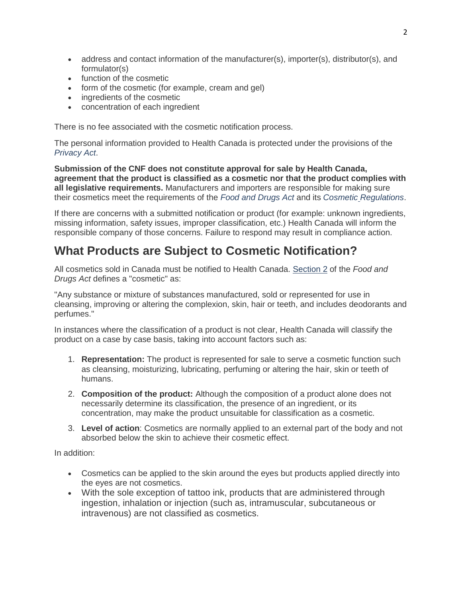- address and contact information of the manufacturer(s), importer(s), distributor(s), and formulator(s)
- function of the cosmetic
- form of the cosmetic (for example, cream and gel)
- ingredients of the cosmetic
- concentration of each ingredient

There is no fee associated with the cosmetic notification process.

The personal information provided to Health Canada is protected under the provisions of the *[Privacy Act](http://laws-lois.justice.gc.ca/eng/acts/P-21/)*.

**Submission of the CNF does not constitute approval for sale by Health Canada, agreement that the product is classified as a cosmetic nor that the product complies with all legislative requirements.** Manufacturers and importers are responsible for making sure their cosmetics meet the requirements of the *[Food and Drugs Act](http://laws-lois.justice.gc.ca/eng/acts/F-27)* and its *Cosmetic [Regulations](http://laws-lois.justice.gc.ca/eng/regulations/C.R.C.,_c._869/index.html)*.

If there are concerns with a submitted notification or product (for example: unknown ingredients, missing information, safety issues, improper classification, etc.) Health Canada will inform the responsible company of those concerns. Failure to respond may result in compliance action.

## **What Products are Subject to Cosmetic Notification?**

All cosmetics sold in Canada must be notified to Health Canada. [Section 2](http://laws-lois.justice.gc.ca/eng/acts/F-27/page-1.html#h-2) of the *Food and Drugs Act* defines a "cosmetic" as:

"Any substance or mixture of substances manufactured, sold or represented for use in cleansing, improving or altering the complexion, skin, hair or teeth, and includes deodorants and perfumes."

In instances where the classification of a product is not clear, Health Canada will classify the product on a case by case basis, taking into account factors such as:

- 1. **Representation:** The product is represented for sale to serve a cosmetic function such as cleansing, moisturizing, lubricating, perfuming or altering the hair, skin or teeth of humans.
- 2. **Composition of the product:** Although the composition of a product alone does not necessarily determine its classification, the presence of an ingredient, or its concentration, may make the product unsuitable for classification as a cosmetic.
- 3. **Level of action**: Cosmetics are normally applied to an external part of the body and not absorbed below the skin to achieve their cosmetic effect.

In addition:

- Cosmetics can be applied to the skin around the eyes but products applied directly into the eyes are not cosmetics.
- With the sole exception of tattoo ink, products that are administered through ingestion, inhalation or injection (such as, intramuscular, subcutaneous or intravenous) are not classified as cosmetics.